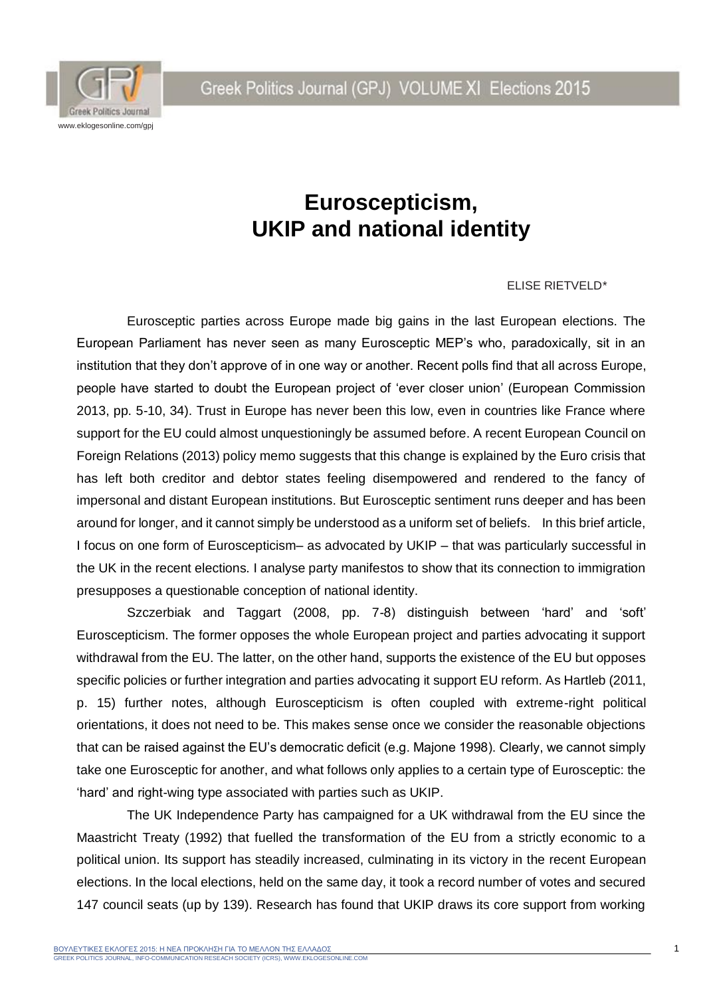Greek Politics Journal (GPJ) VOLUME XI Elections 2015



## **Euroscepticism, UKIP and national identity**

## ELISE RIETVELD*\**

Eurosceptic parties across Europe made big gains in the last European elections. The European Parliament has never seen as many Eurosceptic MEP's who, paradoxically, sit in an institution that they don't approve of in one way or another. Recent polls find that all across Europe, people have started to doubt the European project of 'ever closer union' (European Commission 2013, pp. 5-10, 34). Trust in Europe has never been this low, even in countries like France where support for the EU could almost unquestioningly be assumed before. A recent European Council on Foreign Relations (2013) policy memo suggests that this change is explained by the Euro crisis that has left both creditor and debtor states feeling disempowered and rendered to the fancy of impersonal and distant European institutions. But Eurosceptic sentiment runs deeper and has been around for longer, and it cannot simply be understood as a uniform set of beliefs. In this brief article, I focus on one form of Euroscepticism– as advocated by UKIP – that was particularly successful in the UK in the recent elections. I analyse party manifestos to show that its connection to immigration presupposes a questionable conception of national identity.

Szczerbiak and Taggart (2008, pp. 7-8) distinguish between 'hard' and 'soft' Euroscepticism. The former opposes the whole European project and parties advocating it support withdrawal from the EU. The latter, on the other hand, supports the existence of the EU but opposes specific policies or further integration and parties advocating it support EU reform. As Hartleb (2011, p. 15) further notes, although Euroscepticism is often coupled with extreme-right political orientations, it does not need to be. This makes sense once we consider the reasonable objections that can be raised against the EU's democratic deficit (e.g. Majone 1998). Clearly, we cannot simply take one Eurosceptic for another, and what follows only applies to a certain type of Eurosceptic: the 'hard' and right-wing type associated with parties such as UKIP.

The UK Independence Party has campaigned for a UK withdrawal from the EU since the Maastricht Treaty (1992) that fuelled the transformation of the EU from a strictly economic to a political union. Its support has steadily increased, culminating in its victory in the recent European elections. In the local elections, held on the same day, it took a record number of votes and secured 147 council seats (up by 139). Research has found that UKIP draws its core support from working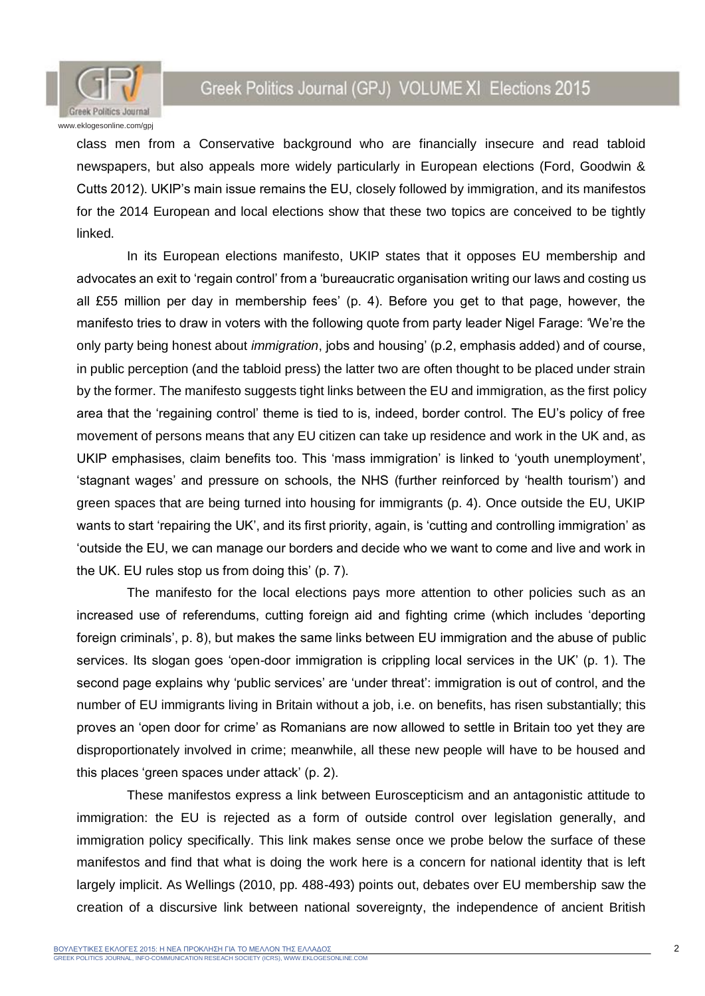

## Greek Politics Journal (GPJ) VOLUME XI Elections 2015

class men from a Conservative background who are financially insecure and read tabloid newspapers, but also appeals more widely particularly in European elections (Ford, Goodwin & Cutts 2012). UKIP's main issue remains the EU, closely followed by immigration, and its manifestos for the 2014 European and local elections show that these two topics are conceived to be tightly linked.

In its European elections manifesto, UKIP states that it opposes EU membership and advocates an exit to 'regain control' from a 'bureaucratic organisation writing our laws and costing us all £55 million per day in membership fees' (p. 4). Before you get to that page, however, the manifesto tries to draw in voters with the following quote from party leader Nigel Farage: 'We're the only party being honest about *immigration*, jobs and housing' (p.2, emphasis added) and of course, in public perception (and the tabloid press) the latter two are often thought to be placed under strain by the former. The manifesto suggests tight links between the EU and immigration, as the first policy area that the 'regaining control' theme is tied to is, indeed, border control. The EU's policy of free movement of persons means that any EU citizen can take up residence and work in the UK and, as UKIP emphasises, claim benefits too. This 'mass immigration' is linked to 'youth unemployment', 'stagnant wages' and pressure on schools, the NHS (further reinforced by 'health tourism') and green spaces that are being turned into housing for immigrants (p. 4). Once outside the EU, UKIP wants to start 'repairing the UK', and its first priority, again, is 'cutting and controlling immigration' as 'outside the EU, we can manage our borders and decide who we want to come and live and work in the UK. EU rules stop us from doing this' (p. 7).

The manifesto for the local elections pays more attention to other policies such as an increased use of referendums, cutting foreign aid and fighting crime (which includes 'deporting foreign criminals', p. 8), but makes the same links between EU immigration and the abuse of public services. Its slogan goes 'open-door immigration is crippling local services in the UK' (p. 1). The second page explains why 'public services' are 'under threat': immigration is out of control, and the number of EU immigrants living in Britain without a job, i.e. on benefits, has risen substantially; this proves an 'open door for crime' as Romanians are now allowed to settle in Britain too yet they are disproportionately involved in crime; meanwhile, all these new people will have to be housed and this places 'green spaces under attack' (p. 2).

These manifestos express a link between Euroscepticism and an antagonistic attitude to immigration: the EU is rejected as a form of outside control over legislation generally, and immigration policy specifically. This link makes sense once we probe below the surface of these manifestos and find that what is doing the work here is a concern for national identity that is left largely implicit. As Wellings (2010, pp. 488-493) points out, debates over EU membership saw the creation of a discursive link between national sovereignty, the independence of ancient British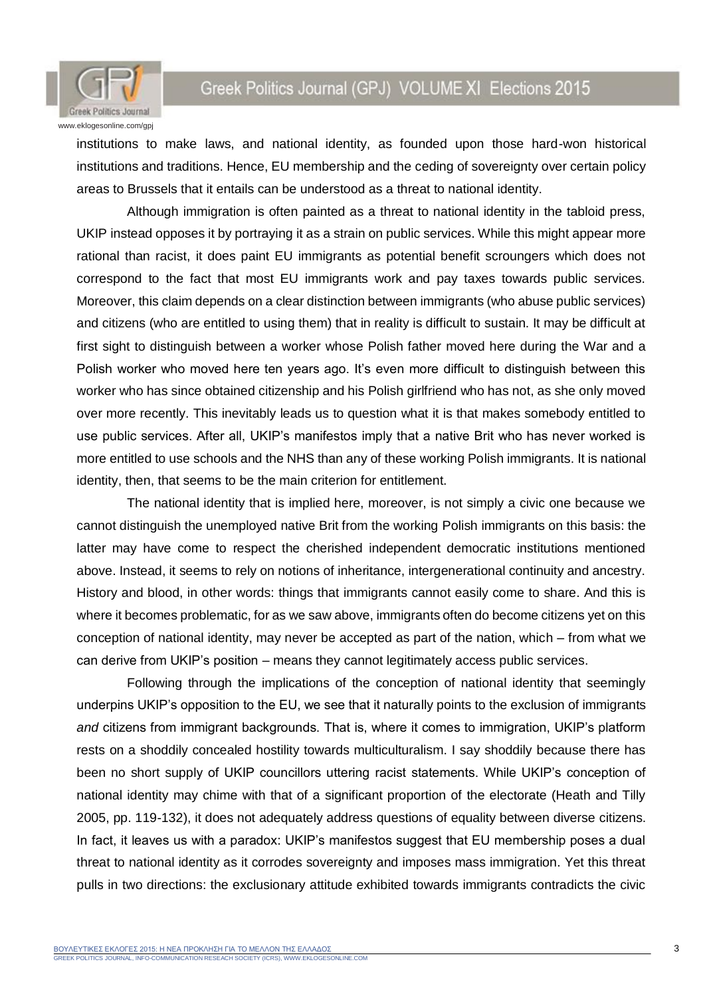Greek Politics Journal (GPJ) VOLUME XI Elections 2015



institutions to make laws, and national identity, as founded upon those hard-won historical institutions and traditions. Hence, EU membership and the ceding of sovereignty over certain policy areas to Brussels that it entails can be understood as a threat to national identity.

Although immigration is often painted as a threat to national identity in the tabloid press, UKIP instead opposes it by portraying it as a strain on public services. While this might appear more rational than racist, it does paint EU immigrants as potential benefit scroungers which does not correspond to the fact that most EU immigrants work and pay taxes towards public services. Moreover, this claim depends on a clear distinction between immigrants (who abuse public services) and citizens (who are entitled to using them) that in reality is difficult to sustain. It may be difficult at first sight to distinguish between a worker whose Polish father moved here during the War and a Polish worker who moved here ten years ago. It's even more difficult to distinguish between this worker who has since obtained citizenship and his Polish girlfriend who has not, as she only moved over more recently. This inevitably leads us to question what it is that makes somebody entitled to use public services. After all, UKIP's manifestos imply that a native Brit who has never worked is more entitled to use schools and the NHS than any of these working Polish immigrants. It is national identity, then, that seems to be the main criterion for entitlement.

The national identity that is implied here, moreover, is not simply a civic one because we cannot distinguish the unemployed native Brit from the working Polish immigrants on this basis: the latter may have come to respect the cherished independent democratic institutions mentioned above. Instead, it seems to rely on notions of inheritance, intergenerational continuity and ancestry. History and blood, in other words: things that immigrants cannot easily come to share. And this is where it becomes problematic, for as we saw above, immigrants often do become citizens yet on this conception of national identity, may never be accepted as part of the nation, which – from what we can derive from UKIP's position – means they cannot legitimately access public services.

Following through the implications of the conception of national identity that seemingly underpins UKIP's opposition to the EU, we see that it naturally points to the exclusion of immigrants *and* citizens from immigrant backgrounds. That is, where it comes to immigration, UKIP's platform rests on a shoddily concealed hostility towards multiculturalism. I say shoddily because there has been no short supply of UKIP councillors uttering racist statements. While UKIP's conception of national identity may chime with that of a significant proportion of the electorate (Heath and Tilly 2005, pp. 119-132), it does not adequately address questions of equality between diverse citizens. In fact, it leaves us with a paradox: UKIP's manifestos suggest that EU membership poses a dual threat to national identity as it corrodes sovereignty and imposes mass immigration. Yet this threat pulls in two directions: the exclusionary attitude exhibited towards immigrants contradicts the civic